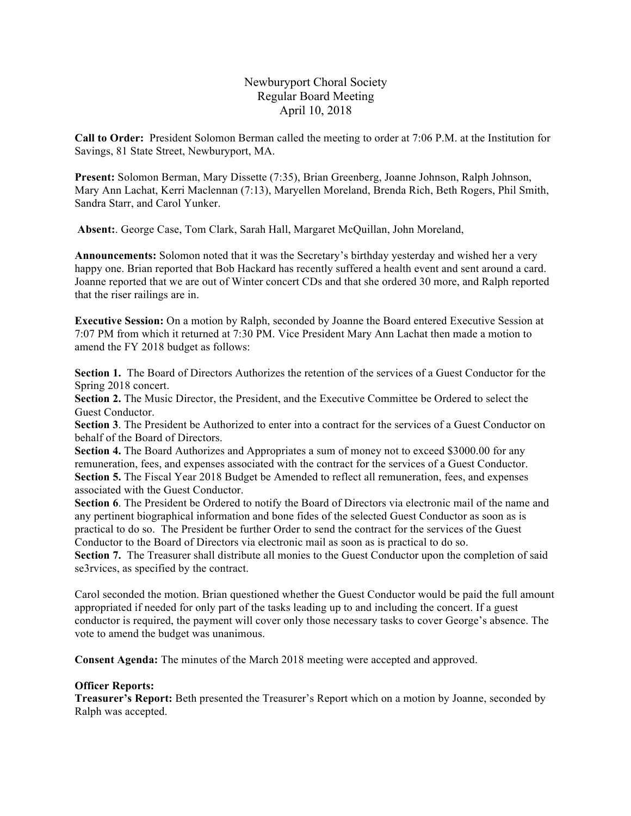# Newburyport Choral Society Regular Board Meeting April 10, 2018

**Call to Order:** President Solomon Berman called the meeting to order at 7:06 P.M. at the Institution for Savings, 81 State Street, Newburyport, MA.

**Present:** Solomon Berman, Mary Dissette (7:35), Brian Greenberg, Joanne Johnson, Ralph Johnson, Mary Ann Lachat, Kerri Maclennan (7:13), Maryellen Moreland, Brenda Rich, Beth Rogers, Phil Smith, Sandra Starr, and Carol Yunker.

**Absent:**. George Case, Tom Clark, Sarah Hall, Margaret McQuillan, John Moreland,

**Announcements:** Solomon noted that it was the Secretary's birthday yesterday and wished her a very happy one. Brian reported that Bob Hackard has recently suffered a health event and sent around a card. Joanne reported that we are out of Winter concert CDs and that she ordered 30 more, and Ralph reported that the riser railings are in.

**Executive Session:** On a motion by Ralph, seconded by Joanne the Board entered Executive Session at 7:07 PM from which it returned at 7:30 PM. Vice President Mary Ann Lachat then made a motion to amend the FY 2018 budget as follows:

**Section 1.** The Board of Directors Authorizes the retention of the services of a Guest Conductor for the Spring 2018 concert.

**Section 2.** The Music Director, the President, and the Executive Committee be Ordered to select the Guest Conductor.

**Section 3**. The President be Authorized to enter into a contract for the services of a Guest Conductor on behalf of the Board of Directors.

**Section 4.** The Board Authorizes and Appropriates a sum of money not to exceed \$3000.00 for any remuneration, fees, and expenses associated with the contract for the services of a Guest Conductor. **Section 5.** The Fiscal Year 2018 Budget be Amended to reflect all remuneration, fees, and expenses associated with the Guest Conductor.

**Section 6**. The President be Ordered to notify the Board of Directors via electronic mail of the name and any pertinent biographical information and bone fides of the selected Guest Conductor as soon as is practical to do so. The President be further Order to send the contract for the services of the Guest Conductor to the Board of Directors via electronic mail as soon as is practical to do so.

**Section 7.** The Treasurer shall distribute all monies to the Guest Conductor upon the completion of said se3rvices, as specified by the contract.

Carol seconded the motion. Brian questioned whether the Guest Conductor would be paid the full amount appropriated if needed for only part of the tasks leading up to and including the concert. If a guest conductor is required, the payment will cover only those necessary tasks to cover George's absence. The vote to amend the budget was unanimous.

**Consent Agenda:** The minutes of the March 2018 meeting were accepted and approved.

#### **Officer Reports:**

**Treasurer's Report:** Beth presented the Treasurer's Report which on a motion by Joanne, seconded by Ralph was accepted.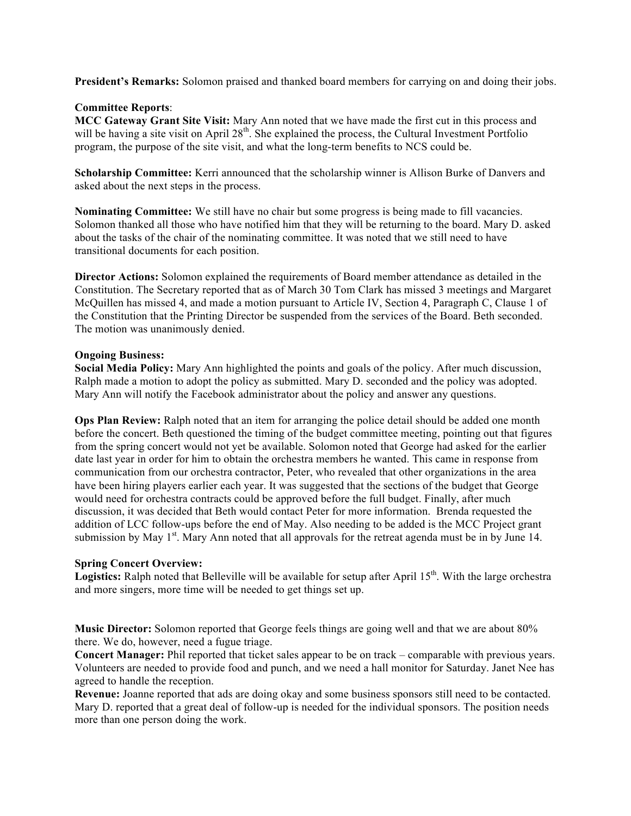**President's Remarks:** Solomon praised and thanked board members for carrying on and doing their jobs.

## **Committee Reports**:

**MCC Gateway Grant Site Visit:** Mary Ann noted that we have made the first cut in this process and will be having a site visit on April 28<sup>th</sup>. She explained the process, the Cultural Investment Portfolio program, the purpose of the site visit, and what the long-term benefits to NCS could be.

**Scholarship Committee:** Kerri announced that the scholarship winner is Allison Burke of Danvers and asked about the next steps in the process.

**Nominating Committee:** We still have no chair but some progress is being made to fill vacancies. Solomon thanked all those who have notified him that they will be returning to the board. Mary D. asked about the tasks of the chair of the nominating committee. It was noted that we still need to have transitional documents for each position.

**Director Actions:** Solomon explained the requirements of Board member attendance as detailed in the Constitution. The Secretary reported that as of March 30 Tom Clark has missed 3 meetings and Margaret McQuillen has missed 4, and made a motion pursuant to Article IV, Section 4, Paragraph C, Clause 1 of the Constitution that the Printing Director be suspended from the services of the Board. Beth seconded. The motion was unanimously denied.

## **Ongoing Business:**

**Social Media Policy:** Mary Ann highlighted the points and goals of the policy. After much discussion, Ralph made a motion to adopt the policy as submitted. Mary D. seconded and the policy was adopted. Mary Ann will notify the Facebook administrator about the policy and answer any questions.

**Ops Plan Review:** Ralph noted that an item for arranging the police detail should be added one month before the concert. Beth questioned the timing of the budget committee meeting, pointing out that figures from the spring concert would not yet be available. Solomon noted that George had asked for the earlier date last year in order for him to obtain the orchestra members he wanted. This came in response from communication from our orchestra contractor, Peter, who revealed that other organizations in the area have been hiring players earlier each year. It was suggested that the sections of the budget that George would need for orchestra contracts could be approved before the full budget. Finally, after much discussion, it was decided that Beth would contact Peter for more information. Brenda requested the addition of LCC follow-ups before the end of May. Also needing to be added is the MCC Project grant submission by May  $1<sup>st</sup>$ . Mary Ann noted that all approvals for the retreat agenda must be in by June 14.

#### **Spring Concert Overview:**

**Logistics:** Ralph noted that Belleville will be available for setup after April 15<sup>th</sup>. With the large orchestra and more singers, more time will be needed to get things set up.

**Music Director:** Solomon reported that George feels things are going well and that we are about 80% there. We do, however, need a fugue triage.

**Concert Manager:** Phil reported that ticket sales appear to be on track – comparable with previous years. Volunteers are needed to provide food and punch, and we need a hall monitor for Saturday. Janet Nee has agreed to handle the reception.

**Revenue:** Joanne reported that ads are doing okay and some business sponsors still need to be contacted. Mary D. reported that a great deal of follow-up is needed for the individual sponsors. The position needs more than one person doing the work.